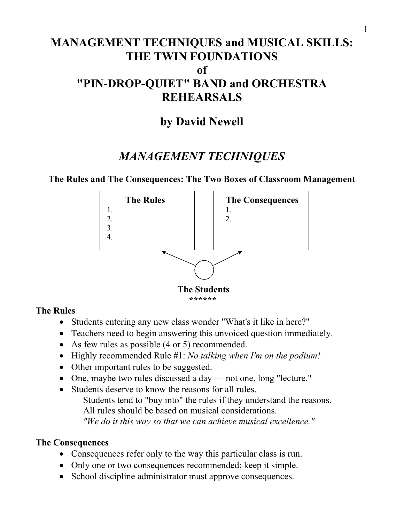# **MANAGEMENT TECHNIQUES and MUSICAL SKILLS: THE TWIN FOUNDATIONS of "PIN-DROP-QUIET" BAND and ORCHESTRA REHEARSALS**

# **by David Newell**

# *MANAGEMENT TECHNIQUES*

**The Rules and The Consequences: The Two Boxes of Classroom Management**



### **The Rules**

- Students entering any new class wonder "What's it like in here?"
- Teachers need to begin answering this unvoiced question immediately.
- As few rules as possible (4 or 5) recommended.
- Highly recommended Rule #1: *No talking when I'm on the podium!*
- Other important rules to be suggested.
- One, maybe two rules discussed a day --- not one, long "lecture."
- Students deserve to know the reasons for all rules. Students tend to "buy into" the rules if they understand the reasons. All rules should be based on musical considerations. *"We do it this way so that we can achieve musical excellence."*

# **The Consequences**

- Consequences refer only to the way this particular class is run.
- Only one or two consequences recommended; keep it simple.
- School discipline administrator must approve consequences.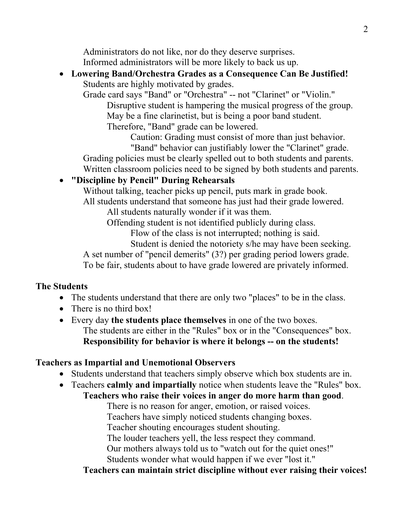Administrators do not like, nor do they deserve surprises. Informed administrators will be more likely to back us up.

## • **Lowering Band/Orchestra Grades as a Consequence Can Be Justified!** Students are highly motivated by grades.

Grade card says "Band" or "Orchestra" -- not "Clarinet" or "Violin." Disruptive student is hampering the musical progress of the group. May be a fine clarinetist, but is being a poor band student.

Therefore, "Band" grade can be lowered.

 Caution: Grading must consist of more than just behavior. "Band" behavior can justifiably lower the "Clarinet" grade.

Grading policies must be clearly spelled out to both students and parents. Written classroom policies need to be signed by both students and parents.

# • **"Discipline by Pencil" During Rehearsals**

Without talking, teacher picks up pencil, puts mark in grade book. All students understand that someone has just had their grade lowered.

All students naturally wonder if it was them.

Offending student is not identified publicly during class.

Flow of the class is not interrupted; nothing is said.

Student is denied the notoriety s/he may have been seeking.

A set number of "pencil demerits" (3?) per grading period lowers grade. To be fair, students about to have grade lowered are privately informed.

## **The Students**

- The students understand that there are only two "places" to be in the class.
- There is no third box!
- Every day **the students place themselves** in one of the two boxes. The students are either in the "Rules" box or in the "Consequences" box. **Responsibility for behavior is where it belongs -- on the students!**

## **Teachers as Impartial and Unemotional Observers**

- Students understand that teachers simply observe which box students are in.
- Teachers **calmly and impartially** notice when students leave the "Rules" box. **Teachers who raise their voices in anger do more harm than good**.

There is no reason for anger, emotion, or raised voices.

Teachers have simply noticed students changing boxes.

Teacher shouting encourages student shouting.

The louder teachers yell, the less respect they command.

Our mothers always told us to "watch out for the quiet ones!"

Students wonder what would happen if we ever "lost it."

**Teachers can maintain strict discipline without ever raising their voices!**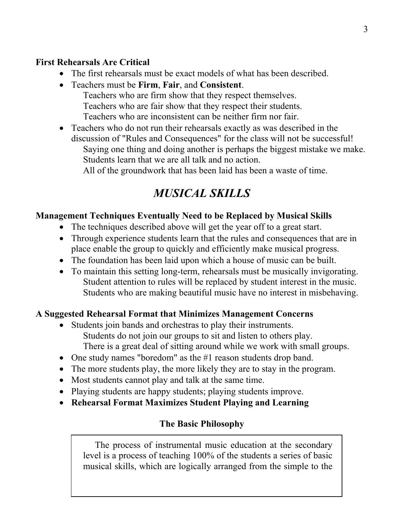### **First Rehearsals Are Critical**

- The first rehearsals must be exact models of what has been described.
- Teachers must be **Firm**, **Fair**, and **Consistent**. Teachers who are firm show that they respect themselves. Teachers who are fair show that they respect their students. Teachers who are inconsistent can be neither firm nor fair.
- Teachers who do not run their rehearsals exactly as was described in the discussion of "Rules and Consequences" for the class will not be successful! Saying one thing and doing another is perhaps the biggest mistake we make. Students learn that we are all talk and no action. All of the groundwork that has been laid has been a waste of time.

# *MUSICAL SKILLS*

### **Management Techniques Eventually Need to be Replaced by Musical Skills**

- The techniques described above will get the year off to a great start.
- Through experience students learn that the rules and consequences that are in place enable the group to quickly and efficiently make musical progress.
- The foundation has been laid upon which a house of music can be built.
- To maintain this setting long-term, rehearsals must be musically invigorating. Student attention to rules will be replaced by student interest in the music. Students who are making beautiful music have no interest in misbehaving.

### **A Suggested Rehearsal Format that Minimizes Management Concerns**

- Students join bands and orchestras to play their instruments. Students do not join our groups to sit and listen to others play. There is a great deal of sitting around while we work with small groups.
- One study names "boredom" as the #1 reason students drop band.
- The more students play, the more likely they are to stay in the program.
- Most students cannot play and talk at the same time.
- Playing students are happy students; playing students improve.
- **Rehearsal Format Maximizes Student Playing and Learning**

### **The Basic Philosophy**

The process of instrumental music education at the secondary level is a process of teaching 100% of the students a series of basic musical skills, which are logically arranged from the simple to the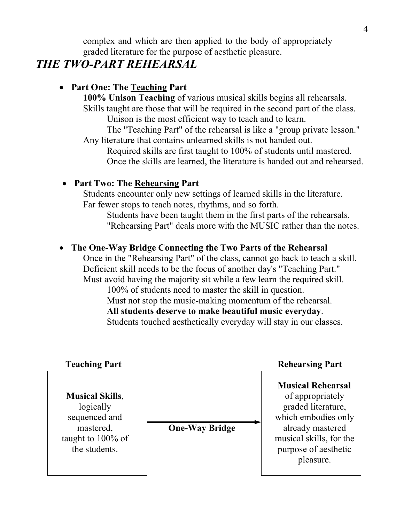complex and which are then applied to the body of appropriately graded literature for the purpose of aesthetic pleasure.

# *THE TWO-PART REHEARSAL*

## • **Part One: The Teaching Part**

**100% Unison Teaching** of various musical skills begins all rehearsals. Skills taught are those that will be required in the second part of the class. Unison is the most efficient way to teach and to learn.

 The "Teaching Part" of the rehearsal is like a "group private lesson." Any literature that contains unlearned skills is not handed out.

 Required skills are first taught to 100% of students until mastered. Once the skills are learned, the literature is handed out and rehearsed.

### • **Part Two: The Rehearsing Part**

Students encounter only new settings of learned skills in the literature. Far fewer stops to teach notes, rhythms, and so forth.

 Students have been taught them in the first parts of the rehearsals. "Rehearsing Part" deals more with the MUSIC rather than the notes.

## • **The One-Way Bridge Connecting the Two Parts of the Rehearsal**

Once in the "Rehearsing Part" of the class, cannot go back to teach a skill. Deficient skill needs to be the focus of another day's "Teaching Part." Must avoid having the majority sit while a few learn the required skill.

 100% of students need to master the skill in question. Must not stop the music-making momentum of the rehearsal. **All students deserve to make beautiful music everyday**. Students touched aesthetically everyday will stay in our classes.

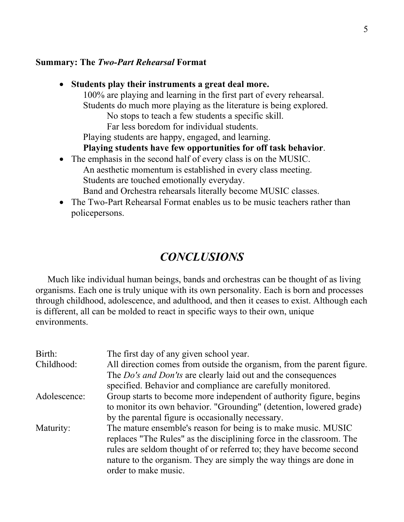#### **Summary: The** *Two-Part Rehearsal* **Format**

| $\bullet$ | Students play their instruments a great deal more.                     |
|-----------|------------------------------------------------------------------------|
|           | 100% are playing and learning in the first part of every rehearsal.    |
|           | Students do much more playing as the literature is being explored.     |
|           | No stops to teach a few students a specific skill.                     |
|           | Far less boredom for individual students.                              |
|           | Playing students are happy, engaged, and learning.                     |
|           | Playing students have few opportunities for off task behavior.         |
|           | • The emphasis in the second half of every class is on the MUSIC.      |
|           | An aesthetic momentum is established in every class meeting.           |
|           | Students are touched emotionally everyday.                             |
|           | Band and Orchestra rehearsals literally become MUSIC classes.          |
|           | The Two-Part Rehearsal Format enables us to be music teachers rather t |

art Rehearsal Format enables us to be music teachers rather than policepersons.

# *CONCLUSIONS*

Much like individual human beings, bands and orchestras can be thought of as living organisms. Each one is truly unique with its own personality. Each is born and processes through childhood, adolescence, and adulthood, and then it ceases to exist. Although each is different, all can be molded to react in specific ways to their own, unique environments.

| Birth:<br>Childhood: | The first day of any given school year.<br>All direction comes from outside the organism, from the parent figure.<br>The Do's and Don'ts are clearly laid out and the consequences                                                                                                                          |
|----------------------|-------------------------------------------------------------------------------------------------------------------------------------------------------------------------------------------------------------------------------------------------------------------------------------------------------------|
|                      | specified. Behavior and compliance are carefully monitored.                                                                                                                                                                                                                                                 |
| Adolescence:         | Group starts to become more independent of authority figure, begins<br>to monitor its own behavior. "Grounding" (detention, lowered grade)                                                                                                                                                                  |
|                      | by the parental figure is occasionally necessary.                                                                                                                                                                                                                                                           |
| Maturity:            | The mature ensemble's reason for being is to make music. MUSIC<br>replaces "The Rules" as the disciplining force in the classroom. The<br>rules are seldom thought of or referred to; they have become second<br>nature to the organism. They are simply the way things are done in<br>order to make music. |